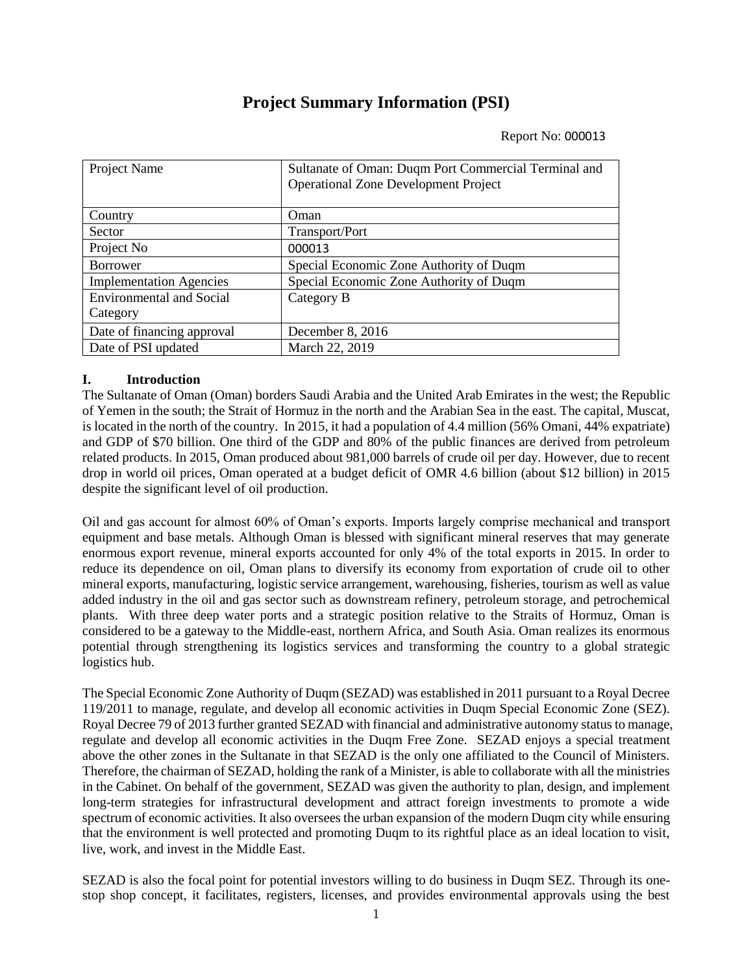# **Project Summary Information (PSI)**

Report No: 000013

| Project Name                    | Sultanate of Oman: Duqm Port Commercial Terminal and<br><b>Operational Zone Development Project</b> |
|---------------------------------|-----------------------------------------------------------------------------------------------------|
| Country                         | Oman                                                                                                |
| Sector                          | Transport/Port                                                                                      |
| Project No                      | 000013                                                                                              |
| <b>Borrower</b>                 | Special Economic Zone Authority of Duqm                                                             |
| <b>Implementation Agencies</b>  | Special Economic Zone Authority of Duqm                                                             |
| <b>Environmental and Social</b> | Category B                                                                                          |
| Category                        |                                                                                                     |
| Date of financing approval      | December 8, 2016                                                                                    |
| Date of PSI updated             | March 22, 2019                                                                                      |

## **I. Introduction**

The Sultanate of Oman (Oman) borders Saudi Arabia and the United Arab Emirates in the west; the Republic of Yemen in the south; the Strait of Hormuz in the north and the Arabian Sea in the east. The capital, Muscat, is located in the north of the country. In 2015, it had a population of 4.4 million (56% Omani, 44% expatriate) and GDP of \$70 billion. One third of the GDP and 80% of the public finances are derived from petroleum related products. In 2015, Oman produced about 981,000 barrels of crude oil per day. However, due to recent drop in world oil prices, Oman operated at a budget deficit of OMR 4.6 billion (about \$12 billion) in 2015 despite the significant level of oil production.

Oil and gas account for almost 60% of Oman's exports. Imports largely comprise mechanical and transport equipment and base metals. Although Oman is blessed with significant mineral reserves that may generate enormous export revenue, mineral exports accounted for only 4% of the total exports in 2015. In order to reduce its dependence on oil, Oman plans to diversify its economy from exportation of crude oil to other mineral exports, manufacturing, logistic service arrangement, warehousing, fisheries, tourism as well as value added industry in the oil and gas sector such as downstream refinery, petroleum storage, and petrochemical plants. With three deep water ports and a strategic position relative to the Straits of Hormuz, Oman is considered to be a gateway to the Middle-east, northern Africa, and South Asia. Oman realizes its enormous potential through strengthening its logistics services and transforming the country to a global strategic logistics hub.

The Special Economic Zone Authority of Duqm (SEZAD) was established in 2011 pursuant to a Royal Decree 119/2011 to manage, regulate, and develop all economic activities in Duqm Special Economic Zone (SEZ). Royal Decree 79 of 2013 further granted SEZAD with financial and administrative autonomy status to manage, regulate and develop all economic activities in the Duqm Free Zone. SEZAD enjoys a special treatment above the other zones in the Sultanate in that SEZAD is the only one affiliated to the Council of Ministers. Therefore, the chairman of SEZAD, holding the rank of a Minister, is able to collaborate with all the ministries in the Cabinet. On behalf of the government, SEZAD was given the authority to plan, design, and implement long-term strategies for infrastructural development and attract foreign investments to promote a wide spectrum of economic activities. It also oversees the urban expansion of the modern Duqm city while ensuring that the environment is well protected and promoting Duqm to its rightful place as an ideal location to visit, live, work, and invest in the Middle East.

SEZAD is also the focal point for potential investors willing to do business in Duqm SEZ. Through its onestop shop concept, it facilitates, registers, licenses, and provides environmental approvals using the best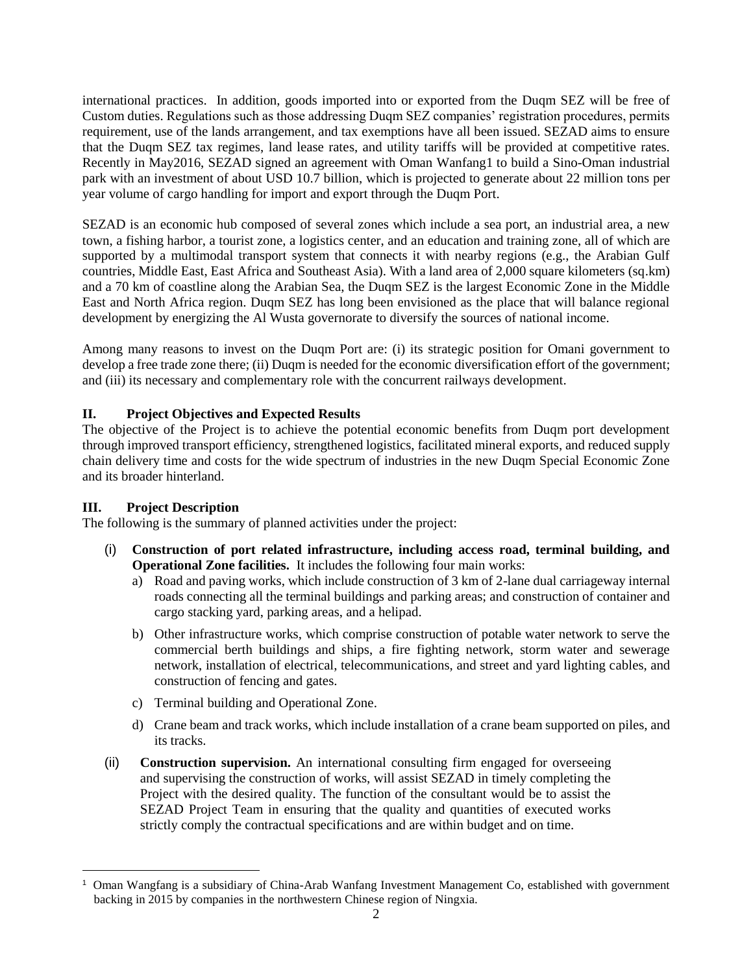international practices. In addition, goods imported into or exported from the Duqm SEZ will be free of Custom duties. Regulations such as those addressing Duqm SEZ companies' registration procedures, permits requirement, use of the lands arrangement, and tax exemptions have all been issued. SEZAD aims to ensure that the Duqm SEZ tax regimes, land lease rates, and utility tariffs will be provided at competitive rates. Recently in May2016, SEZAD signed an agreement with Oman Wanfang1 to build a Sino-Oman industrial park with an investment of about USD 10.7 billion, which is projected to generate about 22 million tons per year volume of cargo handling for import and export through the Duqm Port.

SEZAD is an economic hub composed of several zones which include a sea port, an industrial area, a new town, a fishing harbor, a tourist zone, a logistics center, and an education and training zone, all of which are supported by a multimodal transport system that connects it with nearby regions (e.g., the Arabian Gulf countries, Middle East, East Africa and Southeast Asia). With a land area of 2,000 square kilometers (sq.km) and a 70 km of coastline along the Arabian Sea, the Duqm SEZ is the largest Economic Zone in the Middle East and North Africa region. Duqm SEZ has long been envisioned as the place that will balance regional development by energizing the Al Wusta governorate to diversify the sources of national income.

Among many reasons to invest on the Duqm Port are: (i) its strategic position for Omani government to develop a free trade zone there; (ii) Duqm is needed for the economic diversification effort of the government; and (iii) its necessary and complementary role with the concurrent railways development.

#### **II. Project Objectives and Expected Results**

The objective of the Project is to achieve the potential economic benefits from Duqm port development through improved transport efficiency, strengthened logistics, facilitated mineral exports, and reduced supply chain delivery time and costs for the wide spectrum of industries in the new Duqm Special Economic Zone and its broader hinterland.

#### **III. Project Description**

 $\overline{a}$ 

The following is the summary of planned activities under the project:

- (i) **Construction of port related infrastructure, including access road, terminal building, and Operational Zone facilities.** It includes the following four main works:
	- a) Road and paving works, which include construction of 3 km of 2-lane dual carriageway internal roads connecting all the terminal buildings and parking areas; and construction of container and cargo stacking yard, parking areas, and a helipad.
	- b) Other infrastructure works, which comprise construction of potable water network to serve the commercial berth buildings and ships, a fire fighting network, storm water and sewerage network, installation of electrical, telecommunications, and street and yard lighting cables, and construction of fencing and gates.
	- c) Terminal building and Operational Zone.
	- d) Crane beam and track works, which include installation of a crane beam supported on piles, and its tracks.
- (ii) **Construction supervision.** An international consulting firm engaged for overseeing and supervising the construction of works, will assist SEZAD in timely completing the Project with the desired quality. The function of the consultant would be to assist the SEZAD Project Team in ensuring that the quality and quantities of executed works strictly comply the contractual specifications and are within budget and on time.

<sup>1</sup> Oman Wangfang is a subsidiary of China-Arab Wanfang Investment Management Co, established with government backing in 2015 by companies in the northwestern Chinese region of Ningxia.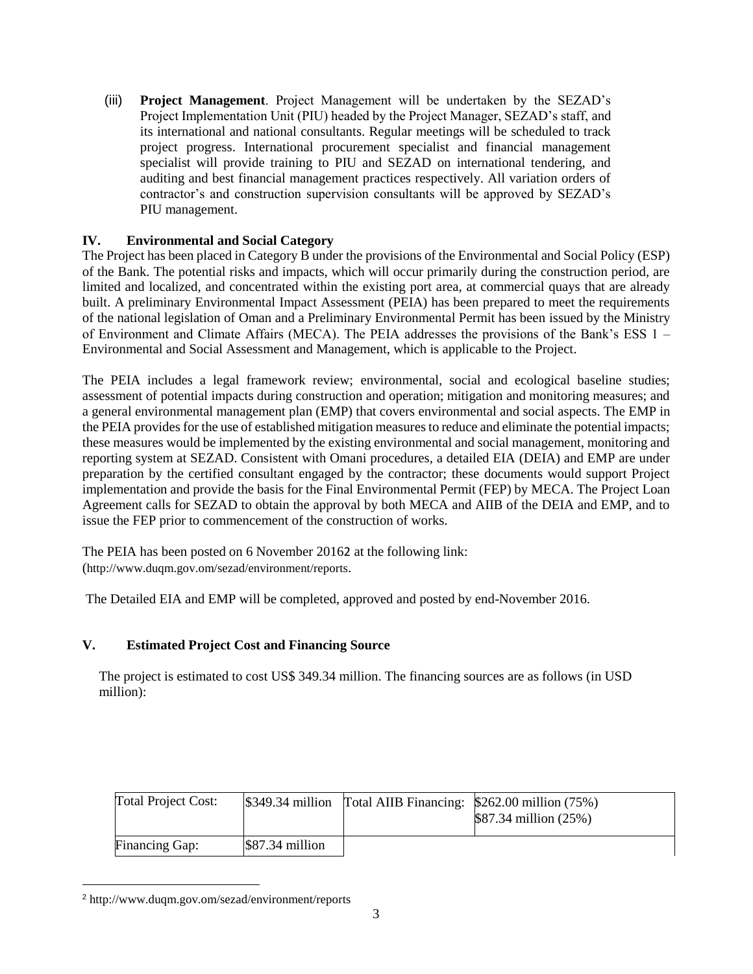(iii) **Project Management**. Project Management will be undertaken by the SEZAD's Project Implementation Unit (PIU) headed by the Project Manager, SEZAD's staff, and its international and national consultants. Regular meetings will be scheduled to track project progress. International procurement specialist and financial management specialist will provide training to PIU and SEZAD on international tendering, and auditing and best financial management practices respectively. All variation orders of contractor's and construction supervision consultants will be approved by SEZAD's PIU management.

## **IV. Environmental and Social Category**

The Project has been placed in Category B under the provisions of the Environmental and Social Policy (ESP) of the Bank. The potential risks and impacts, which will occur primarily during the construction period, are limited and localized, and concentrated within the existing port area, at commercial quays that are already built. A preliminary Environmental Impact Assessment (PEIA) has been prepared to meet the requirements of the national legislation of Oman and a Preliminary Environmental Permit has been issued by the Ministry of Environment and Climate Affairs (MECA). The PEIA addresses the provisions of the Bank's ESS 1 – Environmental and Social Assessment and Management, which is applicable to the Project.

The PEIA includes a legal framework review; environmental, social and ecological baseline studies; assessment of potential impacts during construction and operation; mitigation and monitoring measures; and a general environmental management plan (EMP) that covers environmental and social aspects. The EMP in the PEIA provides for the use of established mitigation measures to reduce and eliminate the potential impacts; these measures would be implemented by the existing environmental and social management, monitoring and reporting system at SEZAD. Consistent with Omani procedures, a detailed EIA (DEIA) and EMP are under preparation by the certified consultant engaged by the contractor; these documents would support Project implementation and provide the basis for the Final Environmental Permit (FEP) by MECA. The Project Loan Agreement calls for SEZAD to obtain the approval by both MECA and AIIB of the DEIA and EMP, and to issue the FEP prior to commencement of the construction of works.

The PEIA has been posted on 6 November 20162 at the following link: (<http://www.duqm.gov.om/sezad/environment/reports>.

The Detailed EIA and EMP will be completed, approved and posted by end-November 2016.

#### **V. Estimated Project Cost and Financing Source**

The project is estimated to cost US\$ 349.34 million. The financing sources are as follows (in USD million):

| <b>Total Project Cost:</b> |                  | $\frac{1}{3}349.34$ million Total AIIB Financing: \$262.00 million (75%) | \$87.34 million (25%) |
|----------------------------|------------------|--------------------------------------------------------------------------|-----------------------|
| <b>Financing Gap:</b>      | $$87.34$ million |                                                                          |                       |

<sup>2</sup> <http://www.duqm.gov.om/sezad/environment/reports>

 $\overline{a}$